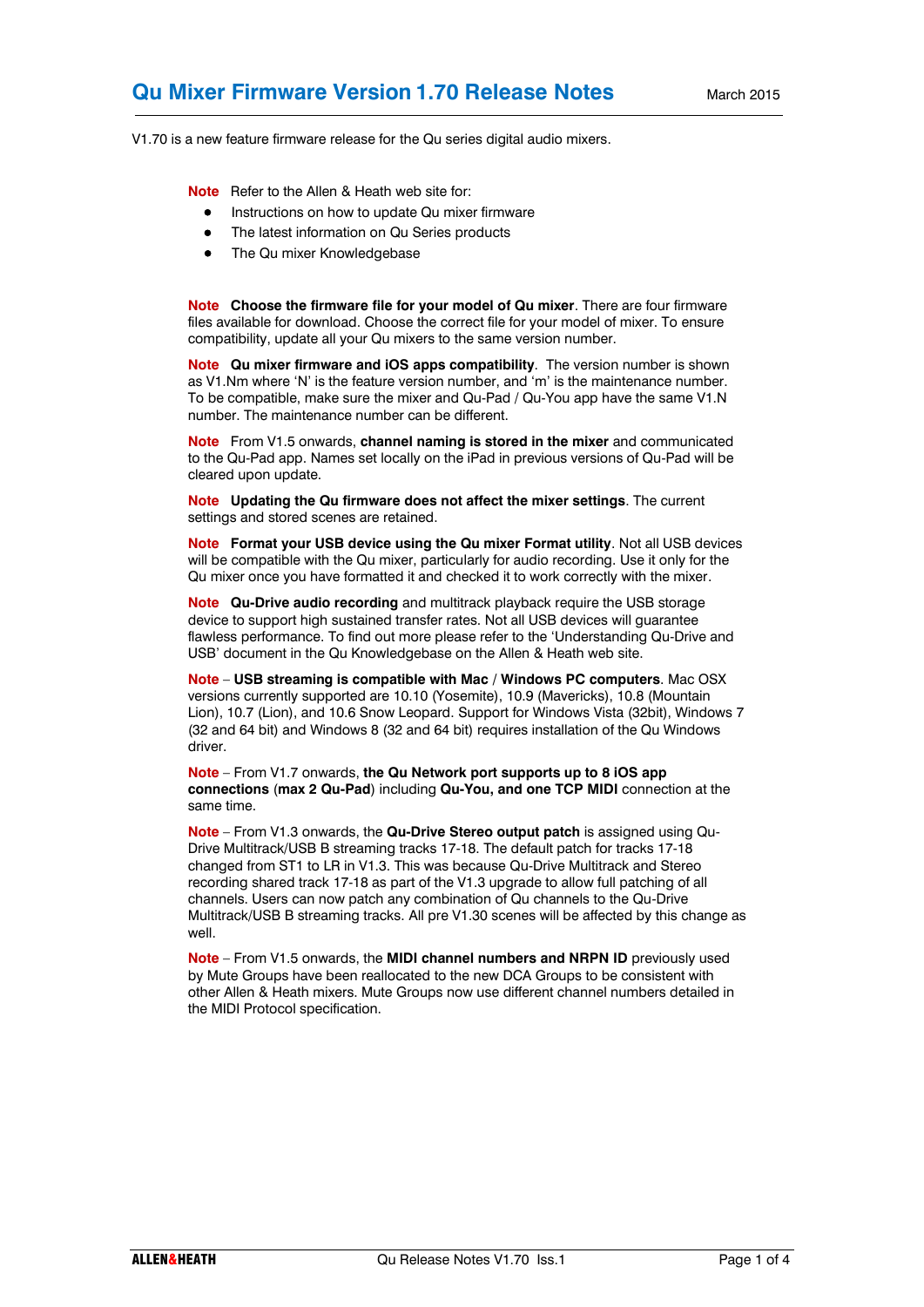V1.70 is a new feature firmware release for the Qu series digital audio mixers.

**Note** Refer to the Allen & Heath web site for:

- **•** Instructions on how to update Qu mixer firmware
- The latest information on Qu Series products
- The Qu mixer Knowledgebase

**Note Choose the firmware file for your model of Qu mixer**. There are four firmware files available for download. Choose the correct file for your model of mixer. To ensure compatibility, update all your Qu mixers to the same version number.

**Note Qu mixer firmware and iOS apps compatibility**. The version number is shown as V1.Nm where 'N' is the feature version number, and 'm' is the maintenance number. To be compatible, make sure the mixer and Qu-Pad / Qu-You app have the same V1.N number. The maintenance number can be different.

**Note** From V1.5 onwards, **channel naming is stored in the mixer** and communicated to the Qu-Pad app. Names set locally on the iPad in previous versions of Qu-Pad will be cleared upon update.

**Note Updating the Qu firmware does not affect the mixer settings**. The current settings and stored scenes are retained.

**Note Format your USB device using the Qu mixer Format utility**. Not all USB devices will be compatible with the Qu mixer, particularly for audio recording. Use it only for the Qu mixer once you have formatted it and checked it to work correctly with the mixer.

**Note Qu-Drive audio recording** and multitrack playback require the USB storage device to support high sustained transfer rates. Not all USB devices will guarantee flawless performance. To find out more please refer to the 'Understanding Qu-Drive and USB' document in the Qu Knowledgebase on the Allen & Heath web site.

**Note** – **USB streaming is compatible with Mac / Windows PC computers**. Mac OSX versions currently supported are 10.10 (Yosemite), 10.9 (Mavericks), 10.8 (Mountain Lion), 10.7 (Lion), and 10.6 Snow Leopard. Support for Windows Vista (32bit), Windows 7 (32 and 64 bit) and Windows 8 (32 and 64 bit) requires installation of the Qu Windows driver.

**Note** – From V1.7 onwards, **the Qu Network port supports up to 8 iOS app connections** (**max 2 Qu-Pad**) including **Qu-You, and one TCP MIDI** connection at the same time.

**Note** – From V1.3 onwards, the **Qu-Drive Stereo output patch** is assigned using Qu-Drive Multitrack/USB B streaming tracks 17-18. The default patch for tracks 17-18 changed from ST1 to LR in V1.3. This was because Qu-Drive Multitrack and Stereo recording shared track 17-18 as part of the V1.3 upgrade to allow full patching of all channels. Users can now patch any combination of Qu channels to the Qu-Drive Multitrack/USB B streaming tracks. All pre V1.30 scenes will be affected by this change as well.

**Note** – From V1.5 onwards, the **MIDI channel numbers and NRPN ID** previously used by Mute Groups have been reallocated to the new DCA Groups to be consistent with other Allen & Heath mixers. Mute Groups now use different channel numbers detailed in the MIDI Protocol specification.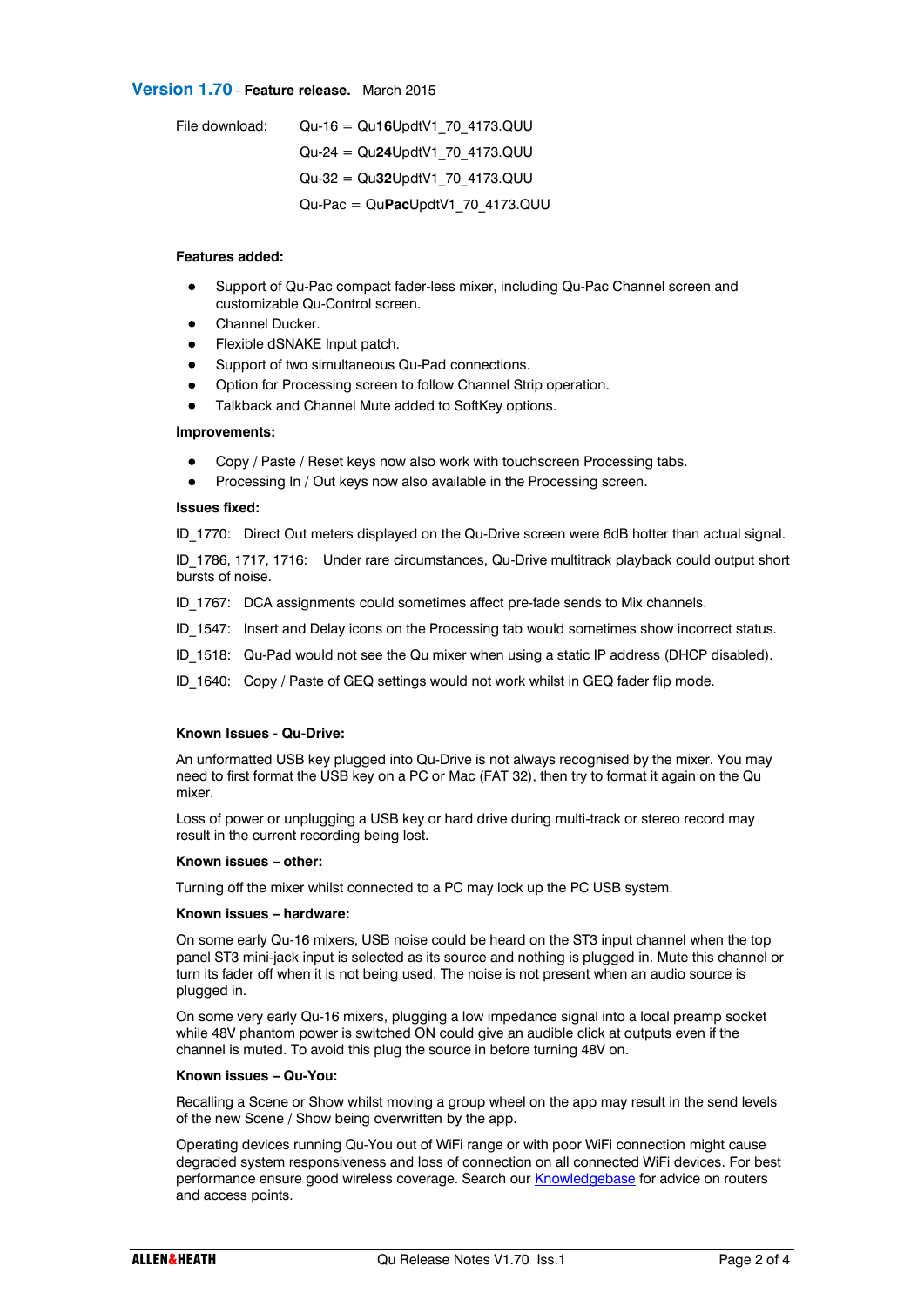## **Version 1.70** - **Feature release.** March 2015

| File download: | $Qu-16 = Qu16UpdtV1 70 4173.QUU$                 |
|----------------|--------------------------------------------------|
|                | $Qu-24 = Qu24UpdtV1 70 4173.QUU$                 |
|                | $Qu-32 = Qu32UpdtV1 70 4173.QUU$                 |
|                | $Qu\text{-}Fac = Qu\text{-}RauDddV1 70 4173.QUU$ |

### **Features added:**

- Support of Qu-Pac compact fader-less mixer, including Qu-Pac Channel screen and customizable Qu-Control screen.
- Channel Ducker.
- Flexible dSNAKE Input patch.
- **•** Support of two simultaneous Qu-Pad connections.
- Option for Processing screen to follow Channel Strip operation.
- Talkback and Channel Mute added to SoftKey options.

### **Improvements:**

- Copy / Paste / Reset keys now also work with touchscreen Processing tabs.
- Processing In / Out keys now also available in the Processing screen.

### **Issues fixed:**

ID\_1770: Direct Out meters displayed on the Qu-Drive screen were 6dB hotter than actual signal.

ID\_1786, 1717, 1716: Under rare circumstances, Qu-Drive multitrack playback could output short bursts of noise.

ID 1767: DCA assignments could sometimes affect pre-fade sends to Mix channels.

- ID 1547: Insert and Delay icons on the Processing tab would sometimes show incorrect status.
- ID\_1518: Qu-Pad would not see the Qu mixer when using a static IP address (DHCP disabled).
- ID 1640: Copy / Paste of GEQ settings would not work whilst in GEQ fader flip mode.

## **Known Issues - Qu-Drive:**

An unformatted USB key plugged into Qu-Drive is not always recognised by the mixer. You may need to first format the USB key on a PC or Mac (FAT 32), then try to format it again on the Qu mixer.

Loss of power or unplugging a USB key or hard drive during multi-track or stereo record may result in the current recording being lost.

### **Known issues – other:**

Turning off the mixer whilst connected to a PC may lock up the PC USB system.

### **Known issues – hardware:**

On some early Qu-16 mixers, USB noise could be heard on the ST3 input channel when the top panel ST3 mini-jack input is selected as its source and nothing is plugged in. Mute this channel or turn its fader off when it is not being used. The noise is not present when an audio source is plugged in.

On some very early Qu-16 mixers, plugging a low impedance signal into a local preamp socket while 48V phantom power is switched ON could give an audible click at outputs even if the channel is muted. To avoid this plug the source in before turning 48V on.

### **Known issues – Qu-You:**

Recalling a Scene or Show whilst moving a group wheel on the app may result in the send levels of the new Scene / Show being overwritten by the app.

Operating devices running Qu-You out of WiFi range or with poor WiFi connection might cause degraded system responsiveness and loss of connection on all connected WiFi devices. For best performance ensure good wireless coverage. Search ou[r Knowledgebase](http://allen-heath.helpserve.com/default/Knowledgebase/List) for advice on routers and access points.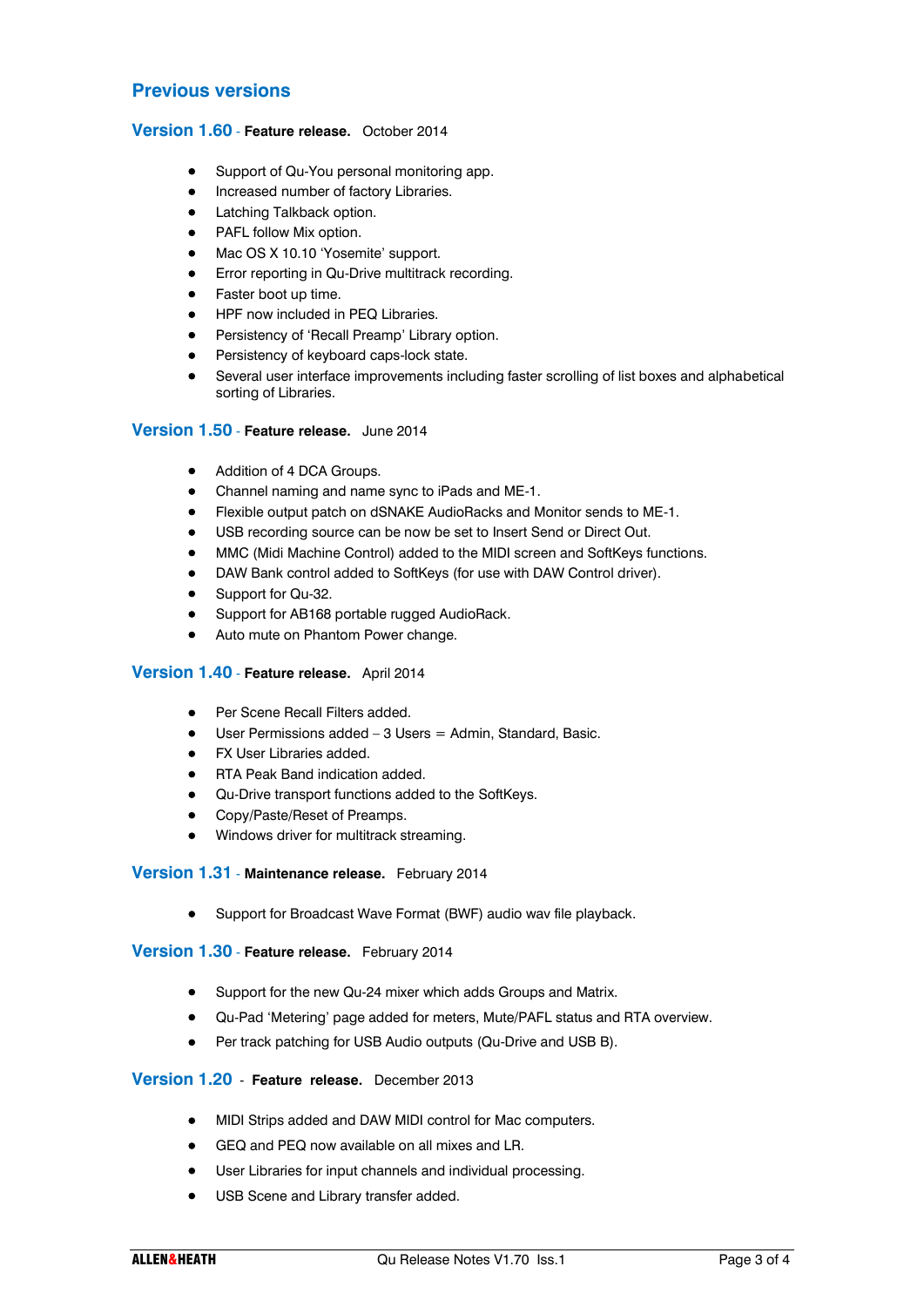# **Previous versions**

## **Version 1.60** - **Feature release.** October 2014

- Support of Qu-You personal monitoring app.
- Increased number of factory Libraries.
- Latching Talkback option.
- PAFL follow Mix option.
- Mac OS X 10.10 'Yosemite' support.
- **•** Error reporting in Qu-Drive multitrack recording.
- **•** Faster boot up time.
- HPF now included in PEQ Libraries.
- **•** Persistency of 'Recall Preamp' Library option.
- **•** Persistency of keyboard caps-lock state.
- Several user interface improvements including faster scrolling of list boxes and alphabetical sorting of Libraries.

## **Version 1.50** - **Feature release.** June 2014

- Addition of 4 DCA Groups.
- Channel naming and name sync to iPads and ME-1.
- Flexible output patch on dSNAKE AudioRacks and Monitor sends to ME-1.
- USB recording source can be now be set to Insert Send or Direct Out.
- MMC (Midi Machine Control) added to the MIDI screen and SoftKeys functions.
- DAW Bank control added to SoftKeys (for use with DAW Control driver).
- Support for Qu-32.
- Support for AB168 portable rugged AudioRack.
- Auto mute on Phantom Power change.

# **Version 1.40** - **Feature release.** April 2014

- Per Scene Recall Filters added.
- $\bullet$  User Permissions added 3 Users = Admin, Standard, Basic.
- FX User Libraries added.
- RTA Peak Band indication added.
- Qu-Drive transport functions added to the SoftKeys.
- Copy/Paste/Reset of Preamps.
- Windows driver for multitrack streaming.

## **Version 1.31** - **Maintenance release.** February 2014

Support for Broadcast Wave Format (BWF) audio wav file playback.

## **Version 1.30** - **Feature release.** February 2014

- **•** Support for the new Qu-24 mixer which adds Groups and Matrix.
- Qu-Pad 'Metering' page added for meters, Mute/PAFL status and RTA overview.
- **•** Per track patching for USB Audio outputs (Qu-Drive and USB B).

# **Version 1.20** - **Feature release.** December 2013

- MIDI Strips added and DAW MIDI control for Mac computers.
- GEQ and PEQ now available on all mixes and LR.
- User Libraries for input channels and individual processing.
- USB Scene and Library transfer added.